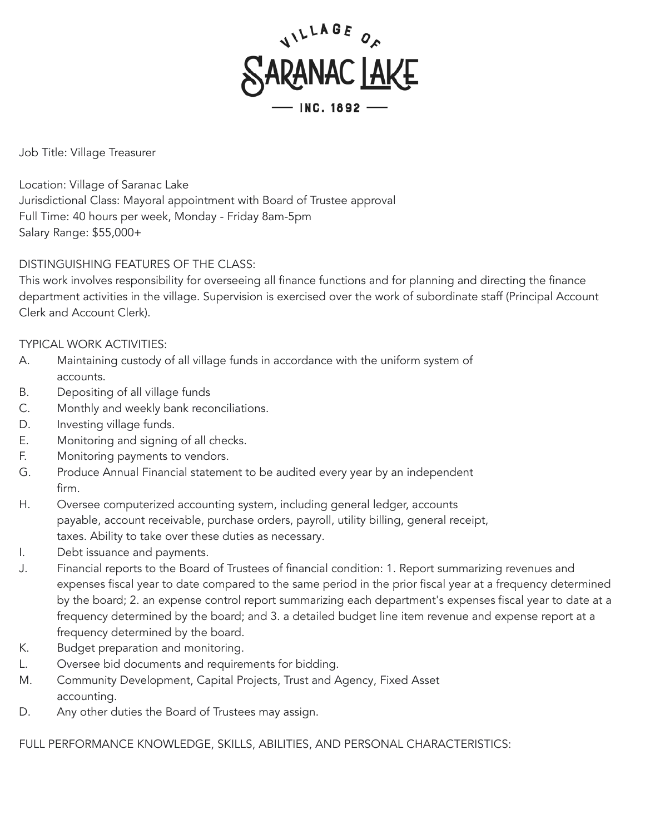

Job Title: Village Treasurer

Location: Village of Saranac Lake Jurisdictional Class: Mayoral appointment with Board of Trustee approval Full Time: 40 hours per week, Monday - Friday 8am-5pm Salary Range: \$55,000+

## DISTINGUISHING FEATURES OF THE CLASS:

This work involves responsibility for overseeing all finance functions and for planning and directing the finance department activities in the village. Supervision is exercised over the work of subordinate staff (Principal Account Clerk and Account Clerk).

## TYPICAL WORK ACTIVITIES:

- A. Maintaining custody of all village funds in accordance with the uniform system of accounts.
- B. Depositing of all village funds
- C. Monthly and weekly bank reconciliations.
- D. Investing village funds.
- E. Monitoring and signing of all checks.
- F. Monitoring payments to vendors.
- G. Produce Annual Financial statement to be audited every year by an independent firm.
- H. Oversee computerized accounting system, including general ledger, accounts payable, account receivable, purchase orders, payroll, utility billing, general receipt, taxes. Ability to take over these duties as necessary.
- I. Debt issuance and payments.
- J. Financial reports to the Board of Trustees of financial condition: 1. Report summarizing revenues and expenses fiscal year to date compared to the same period in the prior fiscal year at a frequency determined by the board; 2. an expense control report summarizing each department's expenses fiscal year to date at a frequency determined by the board; and 3. a detailed budget line item revenue and expense report at a frequency determined by the board.
- K. Budget preparation and monitoring.
- L. Oversee bid documents and requirements for bidding.
- M. Community Development, Capital Projects, Trust and Agency, Fixed Asset accounting.
- D. Any other duties the Board of Trustees may assign.

FULL PERFORMANCE KNOWLEDGE, SKILLS, ABILITIES, AND PERSONAL CHARACTERISTICS: